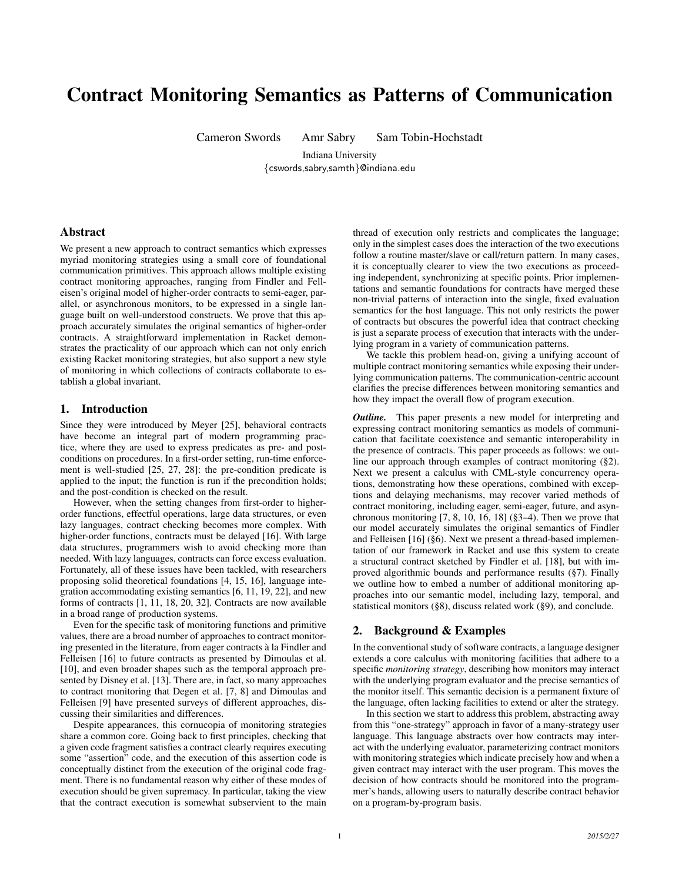# Contract Monitoring Semantics as Patterns of Communication

Cameron Swords Amr Sabry Sam Tobin-Hochstadt

Indiana University {cswords,sabry,samth}@indiana.edu

# Abstract

We present a new approach to contract semantics which expresses myriad monitoring strategies using a small core of foundational communication primitives. This approach allows multiple existing contract monitoring approaches, ranging from Findler and Felleisen's original model of higher-order contracts to semi-eager, parallel, or asynchronous monitors, to be expressed in a single language built on well-understood constructs. We prove that this approach accurately simulates the original semantics of higher-order contracts. A straightforward implementation in Racket demonstrates the practicality of our approach which can not only enrich existing Racket monitoring strategies, but also support a new style of monitoring in which collections of contracts collaborate to establish a global invariant.

# 1. Introduction

Since they were introduced by Meyer [25], behavioral contracts have become an integral part of modern programming practice, where they are used to express predicates as pre- and postconditions on procedures. In a first-order setting, run-time enforcement is well-studied [25, 27, 28]: the pre-condition predicate is applied to the input; the function is run if the precondition holds; and the post-condition is checked on the result.

However, when the setting changes from first-order to higherorder functions, effectful operations, large data structures, or even lazy languages, contract checking becomes more complex. With higher-order functions, contracts must be delayed [16]. With large data structures, programmers wish to avoid checking more than needed. With lazy languages, contracts can force excess evaluation. Fortunately, all of these issues have been tackled, with researchers proposing solid theoretical foundations [4, 15, 16], language integration accommodating existing semantics [6, 11, 19, 22], and new forms of contracts [1, 11, 18, 20, 32]. Contracts are now available in a broad range of production systems.

Even for the specific task of monitoring functions and primitive values, there are a broad number of approaches to contract monitoring presented in the literature, from eager contracts a la Findler and ` Felleisen [16] to future contracts as presented by Dimoulas et al. [10], and even broader shapes such as the temporal approach presented by Disney et al. [13]. There are, in fact, so many approaches to contract monitoring that Degen et al. [7, 8] and Dimoulas and Felleisen [9] have presented surveys of different approaches, discussing their similarities and differences.

Despite appearances, this cornucopia of monitoring strategies share a common core. Going back to first principles, checking that a given code fragment satisfies a contract clearly requires executing some "assertion" code, and the execution of this assertion code is conceptually distinct from the execution of the original code fragment. There is no fundamental reason why either of these modes of execution should be given supremacy. In particular, taking the view that the contract execution is somewhat subservient to the main thread of execution only restricts and complicates the language; only in the simplest cases does the interaction of the two executions follow a routine master/slave or call/return pattern. In many cases, it is conceptually clearer to view the two executions as proceeding independent, synchronizing at specific points. Prior implementations and semantic foundations for contracts have merged these non-trivial patterns of interaction into the single, fixed evaluation semantics for the host language. This not only restricts the power of contracts but obscures the powerful idea that contract checking is just a separate process of execution that interacts with the underlying program in a variety of communication patterns.

We tackle this problem head-on, giving a unifying account of multiple contract monitoring semantics while exposing their underlying communication patterns. The communication-centric account clarifies the precise differences between monitoring semantics and how they impact the overall flow of program execution.

*Outline.* This paper presents a new model for interpreting and expressing contract monitoring semantics as models of communication that facilitate coexistence and semantic interoperability in the presence of contracts. This paper proceeds as follows: we outline our approach through examples of contract monitoring (§2). Next we present a calculus with CML-style concurrency operations, demonstrating how these operations, combined with exceptions and delaying mechanisms, may recover varied methods of contract monitoring, including eager, semi-eager, future, and asynchronous monitoring  $[7, 8, 10, 16, 18]$  (§3–4). Then we prove that our model accurately simulates the original semantics of Findler and Felleisen [16] (§6). Next we present a thread-based implementation of our framework in Racket and use this system to create a structural contract sketched by Findler et al. [18], but with improved algorithmic bounds and performance results (§7). Finally we outline how to embed a number of additional monitoring approaches into our semantic model, including lazy, temporal, and statistical monitors (§8), discuss related work (§9), and conclude.

### 2. Background & Examples

In the conventional study of software contracts, a language designer extends a core calculus with monitoring facilities that adhere to a specific *monitoring strategy*, describing how monitors may interact with the underlying program evaluator and the precise semantics of the monitor itself. This semantic decision is a permanent fixture of the language, often lacking facilities to extend or alter the strategy.

In this section we start to address this problem, abstracting away from this "one-strategy" approach in favor of a many-strategy user language. This language abstracts over how contracts may interact with the underlying evaluator, parameterizing contract monitors with monitoring strategies which indicate precisely how and when a given contract may interact with the user program. This moves the decision of how contracts should be monitored into the programmer's hands, allowing users to naturally describe contract behavior on a program-by-program basis.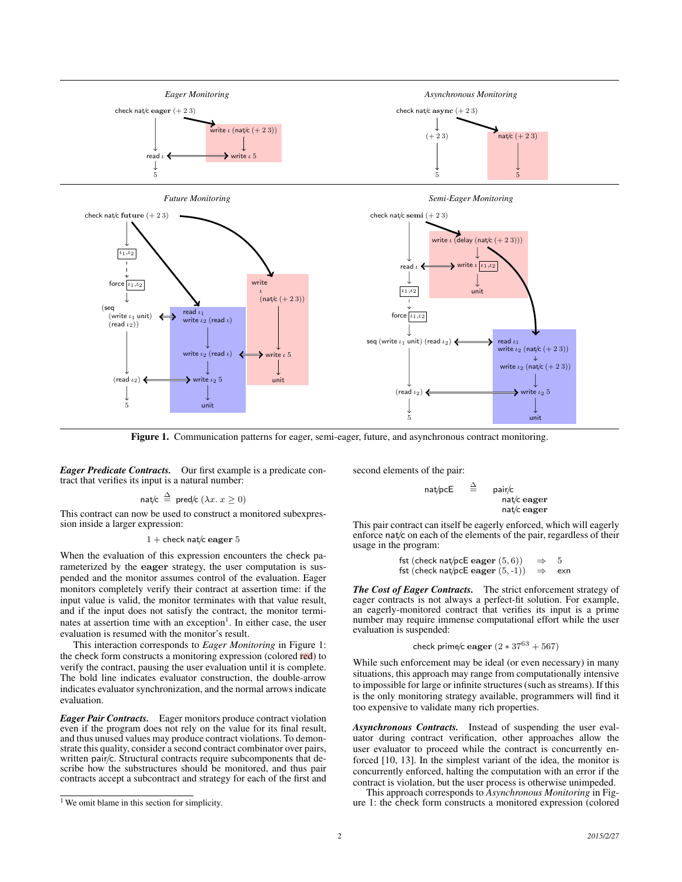

Figure 1. Communication patterns for eager, semi-eager, future, and asynchronous contract monitoring.

*Eager Predicate Contracts.* Our first example is a predicate contract that verifies its input is a natural number:

$$
\mathsf{nat/c} \stackrel{\Delta}{=} \mathsf{pred/c} \ (\lambda x. \ x \ge 0)
$$

This contract can now be used to construct a monitored subexpression inside a larger expression:

#### $1 +$  check nat/c eager 5

When the evaluation of this expression encounters the check parameterized by the eager strategy, the user computation is suspended and the monitor assumes control of the evaluation. Eager monitors completely verify their contract at assertion time: if the input value is valid, the monitor terminates with that value result, and if the input does not satisfy the contract, the monitor terminates at assertion time with an exception<sup>1</sup>. In either case, the user evaluation is resumed with the monitor's result.

This interaction corresponds to *Eager Monitoring* in Figure 1: the check form constructs a monitoring expression (colored red) to verify the contract, pausing the user evaluation until it is complete. The bold line indicates evaluator construction, the double-arrow indicates evaluator synchronization, and the normal arrows indicate evaluation.

*Eager Pair Contracts.* Eager monitors produce contract violation even if the program does not rely on the value for its final result, and thus unused values may produce contract violations. To demonstrate this quality, consider a second contract combinator over pairs, written pair/c. Structural contracts require subcomponents that describe how the substructures should be monitored, and thus pair contracts accept a subcontract and strategy for each of the first and second elements of the pair:

 $nat/pcE \cong pair/c$ nat/c eager nat/c eager

This pair contract can itself be eagerly enforced, which will eagerly enforce nat/ $c$  on each of the elements of the pair, regardless of their usage in the program:

```
fst (check nat/pcE eager (5, 6)) \Rightarrow 5
fst (check nat/pcE eager (5, -1)) \Rightarrow exn
```
*The Cost of Eager Contracts.* The strict enforcement strategy of eager contracts is not always a perfect-fit solution. For example, an eagerly-monitored contract that verifies its input is a prime number may require immense computational effort while the user evaluation is suspended:

check prime/c eager 
$$
(2 * 37^{63} + 567)
$$

While such enforcement may be ideal (or even necessary) in many situations, this approach may range from computationally intensive to impossible for large or infinite structures (such as streams). If this is the only monitoring strategy available, programmers will find it too expensive to validate many rich properties.

*Asynchronous Contracts.* Instead of suspending the user evaluator during contract verification, other approaches allow the user evaluator to proceed while the contract is concurrently enforced [10, 13]. In the simplest variant of the idea, the monitor is concurrently enforced, halting the computation with an error if the contract is violation, but the user process is otherwise unimpeded.

This approach corresponds to *Asynchronous Monitoring* in Figure 1: the check form constructs a monitored expression (colored

<sup>&</sup>lt;sup>1</sup> We omit blame in this section for simplicity.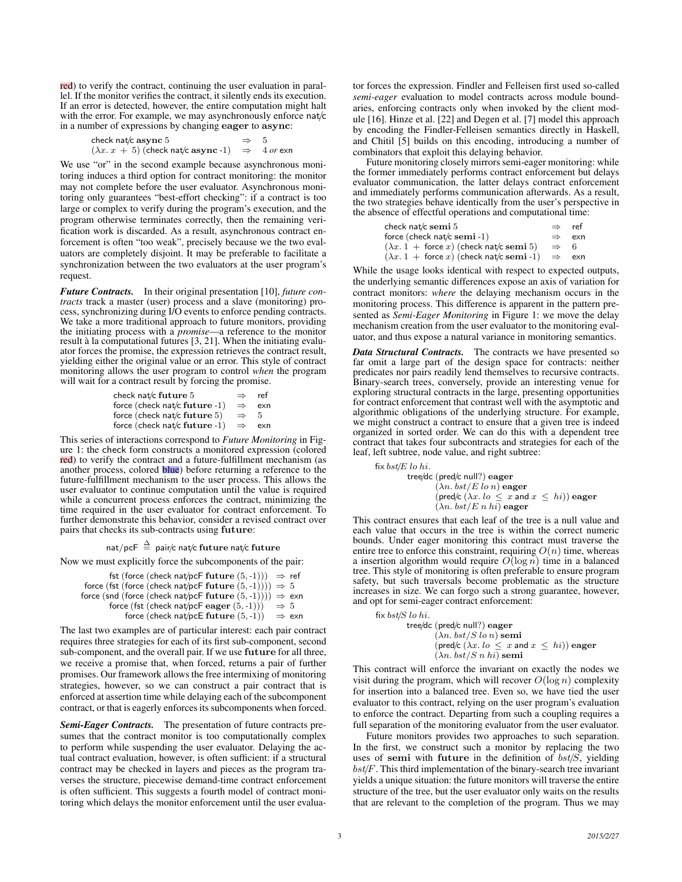red) to verify the contract, continuing the user evaluation in parallel. If the monitor verifies the contract, it silently ends its execution. If an error is detected, however, the entire computation might halt with the error. For example, we may asynchronously enforce nat/c in a number of expressions by changing eager to async:

> check nat/c async 5  $\Rightarrow$  5  $(\lambda x. x + 5)$  (check nat/c async -1)  $\Rightarrow$  4 or exn

We use "or" in the second example because asynchronous monitoring induces a third option for contract monitoring: the monitor may not complete before the user evaluator. Asynchronous monitoring only guarantees "best-effort checking": if a contract is too large or complex to verify during the program's execution, and the program otherwise terminates correctly, then the remaining verification work is discarded. As a result, asynchronous contract enforcement is often "too weak", precisely because we the two evaluators are completely disjoint. It may be preferable to facilitate a synchronization between the two evaluators at the user program's request.

*Future Contracts.* In their original presentation [10], *future contracts* track a master (user) process and a slave (monitoring) process, synchronizing during I/O events to enforce pending contracts. We take a more traditional approach to future monitors, providing the initiating process with a *promise*—a reference to the monitor result à la computational futures [3, 21]. When the initiating evaluator forces the promise, the expression retrieves the contract result, yielding either the original value or an error. This style of contract monitoring allows the user program to control *when* the program will wait for a contract result by forcing the promise.

| check nat/c future 5            | $\Rightarrow$ | ref |
|---------------------------------|---------------|-----|
| force (check nat/c future -1)   | $\Rightarrow$ | exn |
| force (check nat/c future $5$ ) | $\Rightarrow$ | .h  |
| force (check nat/c future -1)   | $\Rightarrow$ | exn |

This series of interactions correspond to *Future Monitoring* in Figure 1: the check form constructs a monitored expression (colored red) to verify the contract and a future-fulfillment mechanism (as another process, colored blue) before returning a reference to the future-fulfillment mechanism to the user process. This allows the user evaluator to continue computation until the value is required while a concurrent process enforces the contract, minimizing the time required in the user evaluator for contract enforcement. To further demonstrate this behavior, consider a revised contract over pairs that checks its sub-contracts using future:

nat/pcF  $\stackrel{\Delta}{=}$  pair/c nat/c future nat/c future

Now we must explicitly force the subcomponents of the pair:

fst (force (check nat/pcF future  $(5, -1))$ )  $\Rightarrow$  ref force (fst (force (check nat/pcF future  $(5,-1)(i)$ )  $\Rightarrow$  5 force (snd (force (check nat/pcF future  $(5, -1))$ ))  $\Rightarrow$  exn force (fst (check nat/pcF eager  $(5, -1))$ )  $\Rightarrow$  5 force (check nat/pcE future  $(5, -1)$ )  $\Rightarrow$  exn

The last two examples are of particular interest: each pair contract requires three strategies for each of its first sub-component, second sub-component, and the overall pair. If we use future for all three, we receive a promise that, when forced, returns a pair of further promises. Our framework allows the free intermixing of monitoring strategies, however, so we can construct a pair contract that is enforced at assertion time while delaying each of the subcomponent contract, or that is eagerly enforces its subcomponents when forced.

*Semi-Eager Contracts.* The presentation of future contracts presumes that the contract monitor is too computationally complex to perform while suspending the user evaluator. Delaying the actual contract evaluation, however, is often sufficient: if a structural contract may be checked in layers and pieces as the program traverses the structure, piecewise demand-time contract enforcement is often sufficient. This suggests a fourth model of contract monitoring which delays the monitor enforcement until the user evaluator forces the expression. Findler and Felleisen first used so-called *semi-eager* evaluation to model contracts across module boundaries, enforcing contracts only when invoked by the client module [16]. Hinze et al. [22] and Degen et al. [7] model this approach by encoding the Findler-Felleisen semantics directly in Haskell, and Chitil [5] builds on this encoding, introducing a number of combinators that exploit this delaying behavior.

Future monitoring closely mirrors semi-eager monitoring: while the former immediately performs contract enforcement but delays evaluator communication, the latter delays contract enforcement and immediately performs communication afterwards. As a result, the two strategies behave identically from the user's perspective in the absence of effectful operations and computational time:

| check nat/c se $\mathbf{m}$ i $5$<br>$\Rightarrow$                    |               |     |
|-----------------------------------------------------------------------|---------------|-----|
| force (check nat/c semi-1)                                            | $\Rightarrow$ | exn |
| $(\lambda x. 1 + \text{force } x)$ (check nat/c semi 5)               | $\Rightarrow$ | - 6 |
| $(\lambda x. 1 + \text{force } x)$ (check nat/c semi-1) $\Rightarrow$ |               | exn |

While the usage looks identical with respect to expected outputs, the underlying semantic differences expose an axis of variation for contract monitors: *where* the delaying mechanism occurs in the monitoring process. This difference is apparent in the pattern presented as *Semi-Eager Monitoring* in Figure 1: we move the delay mechanism creation from the user evaluator to the monitoring evaluator, and thus expose a natural variance in monitoring semantics.

*Data Structural Contracts.* The contracts we have presented so far omit a large part of the design space for contracts: neither predicates nor pairs readily lend themselves to recursive contracts. Binary-search trees, conversely, provide an interesting venue for exploring structural contracts in the large, presenting opportunities for contract enforcement that contrast well with the asymptotic and algorithmic obligations of the underlying structure. For example, we might construct a contract to ensure that a given tree is indeed organized in sorted order. We can do this with a dependent tree contract that takes four subcontracts and strategies for each of the leaf, left subtree, node value, and right subtree:

```
fix bst/E lo hi.
            tree/dc (pred/c null?) eager
                        (\lambda n. bst/E \ln n) eager
                        (pred/c (\lambda x. \text{ } \text{lo} \leq x \text{ and } x \leq \text{ } \text{hi})) eager
                        (\lambda n. \,bst/E \, n \, hi) eager
```
This contract ensures that each leaf of the tree is a null value and each value that occurs in the tree is within the correct numeric bounds. Under eager monitoring this contract must traverse the entire tree to enforce this constraint, requiring  $O(n)$  time, whereas a insertion algorithm would require  $O(\log n)$  time in a balanced tree. This style of monitoring is often preferable to ensure program safety, but such traversals become problematic as the structure increases in size. We can forgo such a strong guarantee, however, and opt for semi-eager contract enforcement:

```
fix bst/S lo hi.
            tree/dc (pred/c null?) eager
                       (\lambda n. bst/S \ln n) semi
                       (pred/c (\lambda x. \text{ } \text{lo} \leq x \text{ and } x \leq \text{ } \text{hi})) eager
                       (\lambda n. \,bst/S \, n \,hi) semi
```
This contract will enforce the invariant on exactly the nodes we visit during the program, which will recover  $O(\log n)$  complexity for insertion into a balanced tree. Even so, we have tied the user evaluator to this contract, relying on the user program's evaluation to enforce the contract. Departing from such a coupling requires a full separation of the monitoring evaluator from the user evaluator.

Future monitors provides two approaches to such separation. In the first, we construct such a monitor by replacing the two uses of semi with future in the definition of  $bst/S$ , yielding  $bst/F$ . This third implementation of the binary-search tree invariant yields a unique situation: the future monitors will traverse the entire structure of the tree, but the user evaluator only waits on the results that are relevant to the completion of the program. Thus we may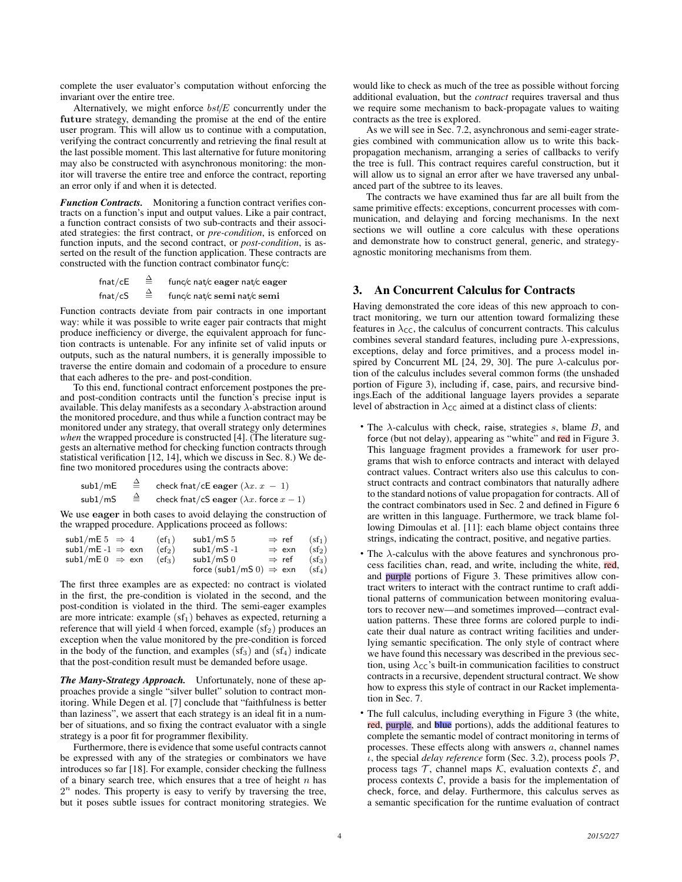complete the user evaluator's computation without enforcing the invariant over the entire tree.

Alternatively, we might enforce  $bst/E$  concurrently under the future strategy, demanding the promise at the end of the entire user program. This will allow us to continue with a computation, verifying the contract concurrently and retrieving the final result at the last possible moment. This last alternative for future monitoring may also be constructed with asynchronous monitoring: the monitor will traverse the entire tree and enforce the contract, reporting an error only if and when it is detected.

*Function Contracts.* Monitoring a function contract verifies contracts on a function's input and output values. Like a pair contract, a function contract consists of two sub-contracts and their associated strategies: the first contract, or *pre-condition*, is enforced on function inputs, and the second contract, or *post-condition*, is asserted on the result of the function application. These contracts are constructed with the function contract combinator func/c:

> fnat/cE  $\triangleq$  func/c nat/c eager nat/c eager fnat/cS  $\triangleq$  func/c nat/c semi nat/c semi

Function contracts deviate from pair contracts in one important way: while it was possible to write eager pair contracts that might produce inefficiency or diverge, the equivalent approach for function contracts is untenable. For any infinite set of valid inputs or outputs, such as the natural numbers, it is generally impossible to traverse the entire domain and codomain of a procedure to ensure that each adheres to the pre- and post-condition.

To this end, functional contract enforcement postpones the preand post-condition contracts until the function's precise input is available. This delay manifests as a secondary  $\lambda$ -abstraction around the monitored procedure, and thus while a function contract may be monitored under any strategy, that overall strategy only determines *when* the wrapped procedure is constructed [4]. (The literature suggests an alternative method for checking function contracts through statistical verification [12, 14], which we discuss in Sec. 8.) We define two monitored procedures using the contracts above:

$$
\begin{array}{ccc}\n\mathsf{sub1/mE} & \stackrel{\Delta}{=} & \mathsf{check\,fnat}/\mathsf{cE\,eager\,}(\lambda x.\,x-1) \\
\mathsf{sub1/mS} & \stackrel{\Delta}{=} & \mathsf{check\,fnat}/\mathsf{cS\,eager\,}(\lambda x.\,\mathsf{force}\,x-1)\n\end{array}
$$

We use eager in both cases to avoid delaying the construction of the wrapped procedure. Applications proceed as follows:

| $sub1/mE 5 \Rightarrow 4$    | $(cf_1)$           | sub $1/mS5$                         | $\Rightarrow$ ref | $(sf_1)$ |
|------------------------------|--------------------|-------------------------------------|-------------------|----------|
| sub1/mE -1 $\Rightarrow$ exn | (cf <sub>2</sub> ) | $sub1/mS -1$                        | $\Rightarrow$ exn | $(sf_2)$ |
| sub1/mE $0 \Rightarrow$ exn  | (cf <sub>3</sub> ) | sub1/mS <sub>0</sub>                | $\Rightarrow$ ref | $(sf_3)$ |
|                              |                    | force (sub1/mS 0) $\Rightarrow$ exn |                   | $(sf_4)$ |

The first three examples are as expected: no contract is violated in the first, the pre-condition is violated in the second, and the post-condition is violated in the third. The semi-eager examples are more intricate: example  $(sf_1)$  behaves as expected, returning a reference that will yield 4 when forced, example  $(s f_2)$  produces an exception when the value monitored by the pre-condition is forced in the body of the function, and examples  $(s f_3)$  and  $(s f_4)$  indicate that the post-condition result must be demanded before usage.

*The Many-Strategy Approach.* Unfortunately, none of these approaches provide a single "silver bullet" solution to contract monitoring. While Degen et al. [7] conclude that "faithfulness is better than laziness", we assert that each strategy is an ideal fit in a number of situations, and so fixing the contract evaluator with a single strategy is a poor fit for programmer flexibility.

Furthermore, there is evidence that some useful contracts cannot be expressed with any of the strategies or combinators we have introduces so far [18]. For example, consider checking the fullness of a binary search tree, which ensures that a tree of height  $n$  has  $2<sup>n</sup>$  nodes. This property is easy to verify by traversing the tree, but it poses subtle issues for contract monitoring strategies. We

would like to check as much of the tree as possible without forcing additional evaluation, but the *contract* requires traversal and thus we require some mechanism to back-propagate values to waiting contracts as the tree is explored.

As we will see in Sec. 7.2, asynchronous and semi-eager strategies combined with communication allow us to write this backpropagation mechanism, arranging a series of callbacks to verify the tree is full. This contract requires careful construction, but it will allow us to signal an error after we have traversed any unbalanced part of the subtree to its leaves.

The contracts we have examined thus far are all built from the same primitive effects: exceptions, concurrent processes with communication, and delaying and forcing mechanisms. In the next sections we will outline a core calculus with these operations and demonstrate how to construct general, generic, and strategyagnostic monitoring mechanisms from them.

# 3. An Concurrent Calculus for Contracts

Having demonstrated the core ideas of this new approach to contract monitoring, we turn our attention toward formalizing these features in  $\lambda_{\text{CC}}$ , the calculus of concurrent contracts. This calculus combines several standard features, including pure  $\lambda$ -expressions, exceptions, delay and force primitives, and a process model inspired by Concurrent ML [24, 29, 30]. The pure  $\lambda$ -calculus portion of the calculus includes several common forms (the unshaded portion of Figure 3), including if, case, pairs, and recursive bindings.Each of the additional language layers provides a separate level of abstraction in  $\lambda_{\text{CC}}$  aimed at a distinct class of clients:

- The  $\lambda$ -calculus with check, raise, strategies s, blame  $B$ , and force (but not delay), appearing as "white" and red in Figure 3. This language fragment provides a framework for user programs that wish to enforce contracts and interact with delayed contract values. Contract writers also use this calculus to construct contracts and contract combinators that naturally adhere to the standard notions of value propagation for contracts. All of the contract combinators used in Sec. 2 and defined in Figure 6 are written in this language. Furthermore, we track blame following Dimoulas et al. [11]: each blame object contains three strings, indicating the contract, positive, and negative parties.
- The  $\lambda$ -calculus with the above features and synchronous process facilities chan, read, and write, including the white, red, and purple portions of Figure 3. These primitives allow contract writers to interact with the contract runtime to craft additional patterns of communication between monitoring evaluators to recover new—and sometimes improved—contract evaluation patterns. These three forms are colored purple to indicate their dual nature as contract writing facilities and underlying semantic specification. The only style of contract where we have found this necessary was described in the previous section, using  $\lambda_{\text{CC}}$ 's built-in communication facilities to construct contracts in a recursive, dependent structural contract. We show how to express this style of contract in our Racket implementation in Sec. 7.
- The full calculus, including everything in Figure 3 (the white, red, purple, and blue portions), adds the additional features to complete the semantic model of contract monitoring in terms of processes. These effects along with answers  $a$ , channel names  $\iota$ , the special *delay reference* form (Sec. 3.2), process pools  $\mathcal{P}$ , process tags  $\mathcal T$ , channel maps  $\mathcal K$ , evaluation contexts  $\mathcal E$ , and process contexts  $C$ , provide a basis for the implementation of check, force, and delay. Furthermore, this calculus serves as a semantic specification for the runtime evaluation of contract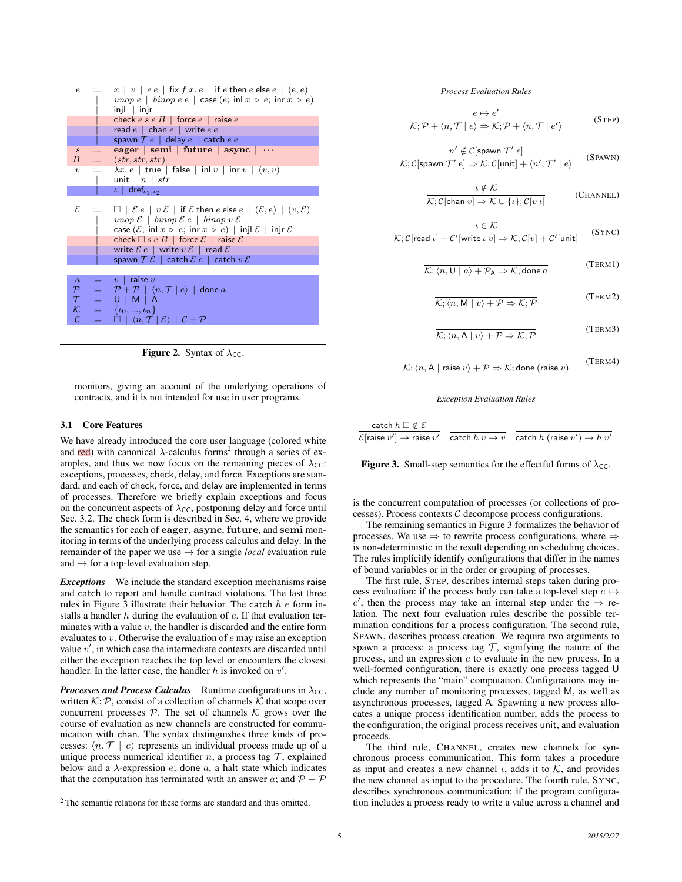| $\epsilon$        |        | $:= x   v   ee   fix f x.e   if e then e else e   (e, e)$                                                                                                                      |
|-------------------|--------|--------------------------------------------------------------------------------------------------------------------------------------------------------------------------------|
|                   |        | unop $e \mid \text{binop} \ e \mid \text{case} \ (e; \text{ inl } x \geq e; \text{ inr } x \geq e)$                                                                            |
|                   |        | $injl$   $injr$                                                                                                                                                                |
|                   |        | check $e \, s \, e \, B$   force $e$   raise $e$                                                                                                                               |
|                   |        | read $e \, \mid \,$ chan $e \, \mid \,$ write $e \, e$                                                                                                                         |
|                   |        | spawn $\mathcal{T} e \perp$ delay $e \perp$ catch $e e$                                                                                                                        |
| S                 | $:=$   | eager   semi   future   async   $\cdots$                                                                                                                                       |
|                   | $B$ := | (str, str, str)                                                                                                                                                                |
| $\boldsymbol{v}$  |        | $\begin{array}{cc} \mathbf{u} & = & \lambda x. e \mid \mathsf{true} \mid \mathsf{false} \mid \mathsf{inl} \, v \mid \mathsf{inr} \, v \mid (v, v) \end{array}$                 |
|                   |        | unit $\mid n \mid str$                                                                                                                                                         |
|                   |        | $\iota$ dref <sub><math>i_1,i_2</math></sub>                                                                                                                                   |
|                   |        |                                                                                                                                                                                |
|                   |        | $\mathcal{E}$ $\equiv$ $\Box$ $\in$ $\mathcal{E}$ $\in$ $\mathcal{E}$ $\in$ $\mathcal{E}$ if $\mathcal{E}$ then $e$ else $e$ $\mid$ $(\mathcal{E},e)$ $\mid$ $(v,\mathcal{E})$ |
|                   |        | unop $\mathcal{E}$   binop $\mathcal{E}$ e   binop v $\mathcal{E}$                                                                                                             |
|                   |        | case $(\mathcal{E}; \text{ in}   x \ge e; \text{ in} r \ x \ge e)$   injl $\mathcal{E}$   injr $\mathcal{E}$                                                                   |
|                   |        |                                                                                                                                                                                |
|                   |        | check $\Box$ s e B   force $\mathcal{E}$   raise $\mathcal{E}$                                                                                                                 |
|                   |        | write $\mathcal{E} e$   write $v \mathcal{E}$   read $\mathcal{E}$                                                                                                             |
|                   |        | spawn $\mathcal{T}\mathcal{E}$   catch $\mathcal{E}e$   catch $v\mathcal{E}$                                                                                                   |
|                   |        |                                                                                                                                                                                |
| $\overline{a}$    |        | $:= v  $ raise $v$                                                                                                                                                             |
|                   |        | $\mathcal{P}$ $:=$ $\mathcal{P} + \mathcal{P}$ $\vert \langle n, \mathcal{T} \vert e \rangle$ done a                                                                           |
|                   |        | $\mathcal{T} := U \mid M \mid A$                                                                                                                                               |
| $\mathcal K$      |        | $:= \{ \iota_0, , \iota_n \}$                                                                                                                                                  |
| $\mathcal{C}_{0}$ |        |                                                                                                                                                                                |
|                   |        | $:= \Box   \langle n, \mathcal{T}   \mathcal{E} \rangle   \mathcal{C} + \mathcal{P}$                                                                                           |

**Figure 2.** Syntax of  $\lambda_{\text{CC}}$ .

monitors, giving an account of the underlying operations of contracts, and it is not intended for use in user programs.

#### 3.1 Core Features

We have already introduced the core user language (colored white and red) with canonical  $\lambda$ -calculus forms<sup>2</sup> through a series of examples, and thus we now focus on the remaining pieces of  $\lambda_{\text{CC}}$ : exceptions, processes, check, delay, and force. Exceptions are standard, and each of check, force, and delay are implemented in terms of processes. Therefore we briefly explain exceptions and focus on the concurrent aspects of  $\lambda_{\text{CC}}$ , postponing delay and force until Sec. 3.2. The check form is described in Sec. 4, where we provide the semantics for each of eager, async, future, and semi monitoring in terms of the underlying process calculus and delay. In the remainder of the paper we use  $\rightarrow$  for a single *local* evaluation rule and  $\mapsto$  for a top-level evaluation step.

*Exceptions* We include the standard exception mechanisms raise and catch to report and handle contract violations. The last three rules in Figure  $\overline{3}$  illustrate their behavior. The catch  $h e$  form installs a handler  $h$  during the evaluation of  $e$ . If that evaluation terminates with a value  $v$ , the handler is discarded and the entire form evaluates to v. Otherwise the evaluation of e may raise an exception value  $v'$ , in which case the intermediate contexts are discarded until either the exception reaches the top level or encounters the closest handler. In the latter case, the handler h is invoked on  $v'$ .

*Processes and Process Calculus* Runtime configurations in  $\lambda_{\text{CC}}$ , written  $K; P$ , consist of a collection of channels  $\hat{K}$  that scope over concurrent processes  $P$ . The set of channels  $K$  grows over the course of evaluation as new channels are constructed for communication with chan. The syntax distinguishes three kinds of processes:  $\langle n, \mathcal{T} | e \rangle$  represents an individual process made up of a unique process numerical identifier n, a process tag  $\mathcal T$ , explained below and a  $\lambda$ -expression  $e$ ; done  $a$ , a halt state which indicates that the computation has terminated with an answer a; and  $P + P$ 

*Process Evaluation Rules*

$$
\frac{e \mapsto e'}{\mathcal{K}; \mathcal{P} + \langle n, \mathcal{T} | e \rangle \Rightarrow \mathcal{K}; \mathcal{P} + \langle n, \mathcal{T} | e' \rangle}
$$
 (STEP)

$$
\frac{n' \notin \mathcal{C}[\text{spawn } \mathcal{T}' \ e]}{\mathcal{K}; \mathcal{C}[\text{spawn } \mathcal{T}' \ e] \Rightarrow \mathcal{K}; \mathcal{C}[\text{unit}] + \langle n', \mathcal{T}' \ | \ e \rangle}
$$
(SPAWN)

$$
\frac{\iota \notin \mathcal{K}}{\mathcal{K}; \mathcal{C}[\text{chan } v] \Rightarrow \mathcal{K} \cup \{\iota\}; \mathcal{C}[v \iota]}
$$
 (CHANNEL)

$$
\frac{\iota \in \mathcal{K}}{\mathcal{K}; \mathcal{C}[\text{read } \iota] + \mathcal{C}'[\text{write } \iota \ v]} \Rightarrow \mathcal{K}; \mathcal{C}[v] + \mathcal{C}'[\text{unit}]
$$
 (SYNC)

 $\overline{\mathcal{K}}$ ;  $\langle n, U | a \rangle + \mathcal{P}_A \Rightarrow \mathcal{K}$ ; done a (TERM1)

$$
\overline{\mathcal{K}}; \langle n, M | v \rangle + \mathcal{P} \Rightarrow \mathcal{K}; \mathcal{P}
$$
\n(TERM2)

$$
\overline{\mathcal{K}; \langle n, A | v \rangle + \mathcal{P} \Rightarrow \mathcal{K}; \mathcal{P}}
$$
 (TERM3)

$$
\overline{\mathcal{K}}; \langle n, \mathsf{A} | \text{raise } v \rangle + \mathcal{P} \Rightarrow \mathcal{K}; \text{done (raise } v \rangle \tag{TERM4}
$$

*Exception Evaluation Rules*

| catch $h\ \Box \notin \mathcal{E}$ |                                                                                                                   |
|------------------------------------|-------------------------------------------------------------------------------------------------------------------|
|                                    | $\mathcal{E}$ [raise $v' \rightarrow$ raise $v'$ catch $h v \rightarrow v$ catch $h$ (raise $v' \rightarrow h v'$ |

Figure 3. Small-step semantics for the effectful forms of  $\lambda_{\text{CC}}$ .

is the concurrent computation of processes (or collections of processes). Process contexts  $C$  decompose process configurations.

The remaining semantics in Figure 3 formalizes the behavior of processes. We use  $\Rightarrow$  to rewrite process configurations, where  $\Rightarrow$ is non-deterministic in the result depending on scheduling choices. The rules implicitly identify configurations that differ in the names of bound variables or in the order or grouping of processes.

The first rule, STEP, describes internal steps taken during process evaluation: if the process body can take a top-level step  $e \mapsto$ e', then the process may take an internal step under the  $\Rightarrow$  relation. The next four evaluation rules describe the possible termination conditions for a process configuration. The second rule, SPAWN, describes process creation. We require two arguments to spawn a process: a process tag  $T$ , signifying the nature of the process, and an expression e to evaluate in the new process. In a well-formed configuration, there is exactly one process tagged U which represents the "main" computation. Configurations may include any number of monitoring processes, tagged M, as well as asynchronous processes, tagged A. Spawning a new process allocates a unique process identification number, adds the process to the configuration, the original process receives unit, and evaluation proceeds.

The third rule, CHANNEL, creates new channels for synchronous process communication. This form takes a procedure as input and creates a new channel  $\iota$ , adds it to  $K$ , and provides the new channel as input to the procedure. The fourth rule, SYNC, describes synchronous communication: if the program configuration includes a process ready to write a value across a channel and

<sup>2</sup> The semantic relations for these forms are standard and thus omitted.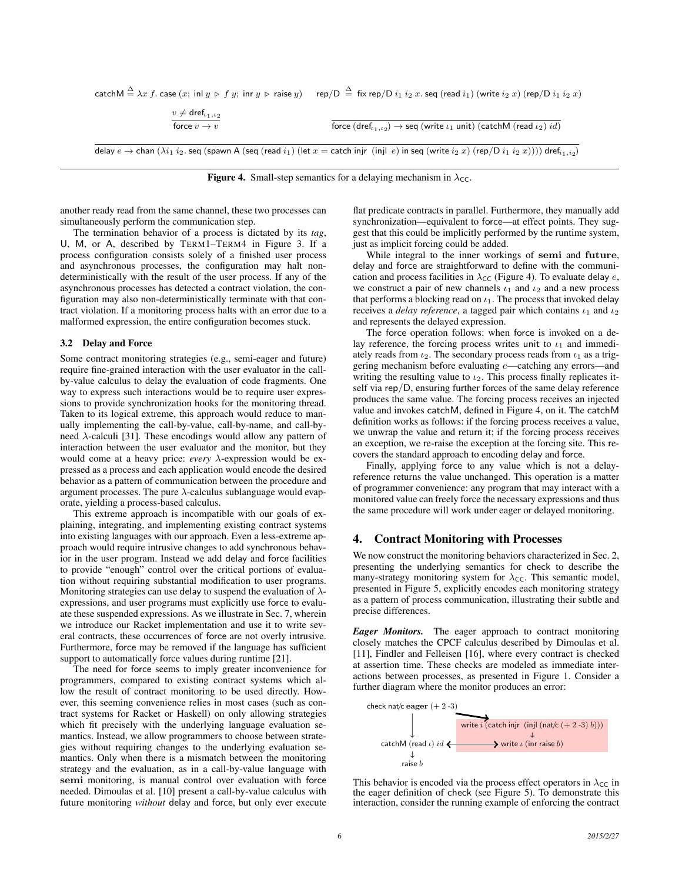|                                                               | $\mathsf{catchM} \overset{\Delta}{=} \lambda x \ f.$ $\mathsf{case}\ (x;\ \mathsf{inl}\ y \mathrel{\triangleright} f\ y;\ \mathsf{inr}\ y \mathrel{\triangleright} \mathsf{raise}\ y) \quad\mathsf{resp} / \mathsf{D} \overset{\Delta}{=} \ \mathsf{fix}\ \mathsf{rep} / \mathsf{D}\ i_1\ i_2\ x.$ $\mathsf{seq}\ (\mathsf{read}\ i_1)\ (\mathsf{write}\ i_2\ x)\ (\mathsf{rep} / \mathsf{D}\ i_1\ i_2\ x)$ |
|---------------------------------------------------------------|-------------------------------------------------------------------------------------------------------------------------------------------------------------------------------------------------------------------------------------------------------------------------------------------------------------------------------------------------------------------------------------------------------------|
| $v \neq$ dref $_{\iota_1,\iota_2}$<br>force $v \rightarrow v$ | force $(\text{dref}_{i_1,i_2}) \rightarrow \text{seq}$ (write $i_1$ unit) (catchM (read $i_2$ ) id)                                                                                                                                                                                                                                                                                                         |

delay  $e\to$  chan  $(\lambda i_1\; i_2.$  seq (spawn A (seq (read  $i_1)$  (let  $x=$  catch injr  $\;$  (injl  $\;e)$  in seq (write  $i_2\; x)$  (rep/D  $i_1\; i_2\; x))))$  dre $f_{i_1,i_2)}$ 



another ready read from the same channel, these two processes can simultaneously perform the communication step.

The termination behavior of a process is dictated by its *tag*, U, M, or A, described by TERM1–TERM4 in Figure 3. If a process configuration consists solely of a finished user process and asynchronous processes, the configuration may halt nondeterministically with the result of the user process. If any of the asynchronous processes has detected a contract violation, the configuration may also non-deterministically terminate with that contract violation. If a monitoring process halts with an error due to a malformed expression, the entire configuration becomes stuck.

#### 3.2 Delay and Force

Some contract monitoring strategies (e.g., semi-eager and future) require fine-grained interaction with the user evaluator in the callby-value calculus to delay the evaluation of code fragments. One way to express such interactions would be to require user expressions to provide synchronization hooks for the monitoring thread. Taken to its logical extreme, this approach would reduce to manually implementing the call-by-value, call-by-name, and call-byneed  $\lambda$ -calculi [31]. These encodings would allow any pattern of interaction between the user evaluator and the monitor, but they would come at a heavy price: *every* λ-expression would be expressed as a process and each application would encode the desired behavior as a pattern of communication between the procedure and argument processes. The pure  $\lambda$ -calculus sublanguage would evaporate, yielding a process-based calculus.

This extreme approach is incompatible with our goals of explaining, integrating, and implementing existing contract systems into existing languages with our approach. Even a less-extreme approach would require intrusive changes to add synchronous behavior in the user program. Instead we add delay and force facilities to provide "enough" control over the critical portions of evaluation without requiring substantial modification to user programs. Monitoring strategies can use delay to suspend the evaluation of  $\lambda$ expressions, and user programs must explicitly use force to evaluate these suspended expressions. As we illustrate in Sec. 7, wherein we introduce our Racket implementation and use it to write several contracts, these occurrences of force are not overly intrusive. Furthermore, force may be removed if the language has sufficient support to automatically force values during runtime [21].

The need for force seems to imply greater inconvenience for programmers, compared to existing contract systems which allow the result of contract monitoring to be used directly. However, this seeming convenience relies in most cases (such as contract systems for Racket or Haskell) on only allowing strategies which fit precisely with the underlying language evaluation semantics. Instead, we allow programmers to choose between strategies without requiring changes to the underlying evaluation semantics. Only when there is a mismatch between the monitoring strategy and the evaluation, as in a call-by-value language with semi monitoring, is manual control over evaluation with force needed. Dimoulas et al. [10] present a call-by-value calculus with future monitoring *without* delay and force, but only ever execute

flat predicate contracts in parallel. Furthermore, they manually add synchronization—equivalent to force—at effect points. They suggest that this could be implicitly performed by the runtime system, just as implicit forcing could be added.

While integral to the inner workings of semi and future, delay and force are straightforward to define with the communication and process facilities in  $\lambda_{\text{CC}}$  (Figure 4). To evaluate delay e, we construct a pair of new channels  $\iota_1$  and  $\iota_2$  and a new process that performs a blocking read on  $\iota_1$ . The process that invoked delay receives a *delay reference*, a tagged pair which contains  $\iota_1$  and  $\iota_2$ and represents the delayed expression.

The force operation follows: when force is invoked on a delay reference, the forcing process writes unit to  $\iota_1$  and immediately reads from  $\iota_2$ . The secondary process reads from  $\iota_1$  as a triggering mechanism before evaluating e—catching any errors—and writing the resulting value to  $\iota_2$ . This process finally replicates itself via rep/D, ensuring further forces of the same delay reference produces the same value. The forcing process receives an injected value and invokes catchM, defined in Figure 4, on it. The catchM definition works as follows: if the forcing process receives a value, we unwrap the value and return it; if the forcing process receives an exception, we re-raise the exception at the forcing site. This recovers the standard approach to encoding delay and force.

Finally, applying force to any value which is not a delayreference returns the value unchanged. This operation is a matter of programmer convenience: any program that may interact with a monitored value can freely force the necessary expressions and thus the same procedure will work under eager or delayed monitoring.

## 4. Contract Monitoring with Processes

We now construct the monitoring behaviors characterized in Sec. 2, presenting the underlying semantics for check to describe the many-strategy monitoring system for  $\lambda_{\text{CC}}$ . This semantic model, presented in Figure 5, explicitly encodes each monitoring strategy as a pattern of process communication, illustrating their subtle and precise differences.

*Eager Monitors.* The eager approach to contract monitoring closely matches the CPCF calculus described by Dimoulas et al. [11], Findler and Felleisen [16], where every contract is checked at assertion time. These checks are modeled as immediate interactions between processes, as presented in Figure 1. Consider a further diagram where the monitor produces an error:



This behavior is encoded via the process effect operators in  $\lambda_{\text{CC}}$  in the eager definition of check (see Figure 5). To demonstrate this interaction, consider the running example of enforcing the contract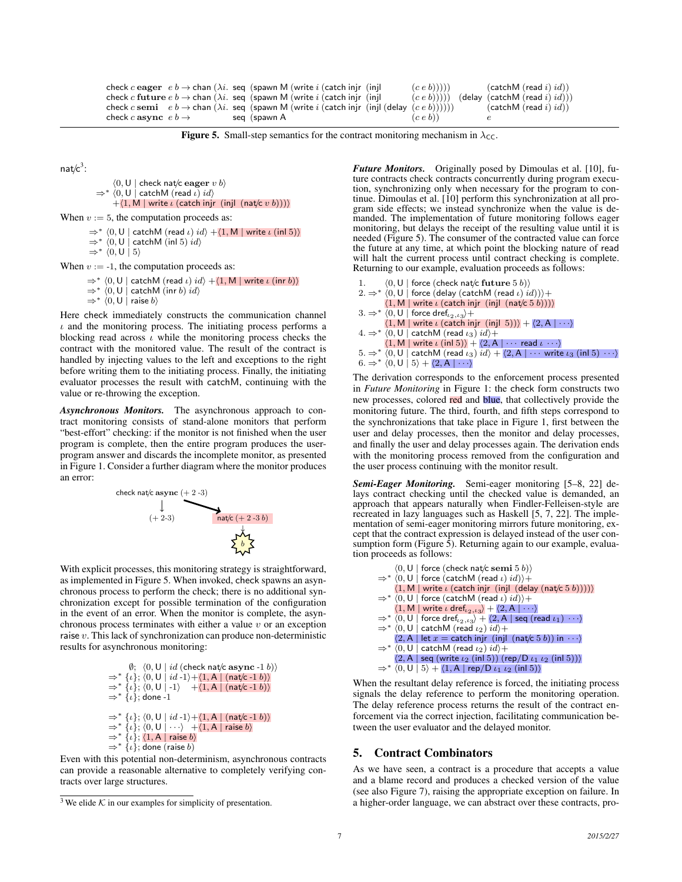```
check c eager e b \to \text{chan}(\lambda i) seq (spawn M (write i (catch injr (injl (e e b))))) (catchM (read i) id))<br>check c future e b \to \text{chan}(\lambda i) seq (spawn M (write i (catch injr (injl (e e b))))) (delay (catchM (read i) id)))
check c future e b \rightarrow chan \lambda i. seq (spawn M (write i) (catch injr (injl
check c semi e b \rightarrow chan (\lambda i. seq (spawn M (write i (catch injr (injl (delay (ce b)))))) (catchM (read i) id))
check c async e b \rightarrow seq (spawn A (c e b))
```
**Figure 5.** Small-step semantics for the contract monitoring mechanism in  $\lambda_{\text{CC}}$ .

nat/ $c^3$ :

```
\langle 0, \mathsf{U} \mid check nat/c eager v b)
             \Rightarrow * \langle 0, U | catchM (read ι) id \rangle+\langle 1, M | write \iota (catch injr (injl (nat/c v b))))
When v := 5, the computation proceeds as:
          \Rightarrow^* \langle 0, U | catchM (read ι) id \rangle + \langle 1, M | write ι (inl 5))
```
 $\Rightarrow^*$   $\langle 0, U \vert$  catchM (inl 5)  $id$  $\Rightarrow^*$  (0, U | 5)

When  $v := -1$ , the computation proceeds as:

 $\Rightarrow^* \langle 0, U \vert$  catchM (read *ι*)  $id \rangle +\langle 1, M \vert$  write *ι* (inr *b*))  $\Rightarrow$  \* (0, U | catchM (inr b) id)  $\Rightarrow^* \langle 0, \mathsf{U} \mid \mathsf{raise}\, 6 \rangle$ 

Here check immediately constructs the communication channel  $\iota$  and the monitoring process. The initiating process performs a blocking read across  $\iota$  while the monitoring process checks the contract with the monitored value. The result of the contract is handled by injecting values to the left and exceptions to the right before writing them to the initiating process. Finally, the initiating evaluator processes the result with catchM, continuing with the value or re-throwing the exception.

*Asynchronous Monitors.* The asynchronous approach to contract monitoring consists of stand-alone monitors that perform "best-effort" checking: if the monitor is not finished when the user program is complete, then the entire program produces the userprogram answer and discards the incomplete monitor, as presented in Figure 1. Consider a further diagram where the monitor produces an error:



With explicit processes, this monitoring strategy is straightforward, as implemented in Figure 5. When invoked, check spawns an asynchronous process to perform the check; there is no additional synchronization except for possible termination of the configuration in the event of an error. When the monitor is complete, the asynchronous process terminates with either a value  $v$  or an exception raise  $v$ . This lack of synchronization can produce non-deterministic results for asynchronous monitoring:

```
\emptyset; \langle 0, U | id (check nat/c async -1 b))
\Rightarrow^* {\iota}; \langle 0, U | id -1 \rangle + \langle 1, A | (nat/c -1 b) \rangle\Rightarrow \{i\}; \langle 0, U \mid -1 \rangle + \langle 1, A \mid (nat/c -1 b) \rangle\Rightarrow^* {\hat{\{i\}}}; done -1
\Rightarrow^* {\iota}; (0, U | id -1) + (1, A | (nat/c -1 b))\Rightarrow * {\iota}; \langle 0, U | \cdots \rangle +\langle 1, A | raise b \rangle\Rightarrow {i}; (1, A | raise b)
\Rightarrow^* \{\iota\}; done (raise b)
```
Even with this potential non-determinism, asynchronous contracts can provide a reasonable alternative to completely verifying contracts over large structures.

*Future Monitors.* Originally posed by Dimoulas et al. [10], future contracts check contracts concurrently during program execution, synchronizing only when necessary for the program to continue. Dimoulas et al. [10] perform this synchronization at all program side effects; we instead synchronize when the value is demanded. The implementation of future monitoring follows eager monitoring, but delays the receipt of the resulting value until it is needed (Figure 5). The consumer of the contracted value can force the future at any time, at which point the blocking nature of read will halt the current process until contract checking is complete. Returning to our example, evaluation proceeds as follows:

|  | 1. $\langle 0, U  $ force (check nat/c future 5 b))                                                                                                  |
|--|------------------------------------------------------------------------------------------------------------------------------------------------------|
|  | $2. \Rightarrow^* \langle 0, U  $ force (delay (catchM (read <i>l</i> ) <i>id</i> )))+                                                               |
|  | $\langle 1, M \mid$ write $\iota$ (catch injr (injl (nat/c 5 b)))                                                                                    |
|  | $3. \Rightarrow^* (0, U \mid$ force dref $_{i_2, i_3}$ +                                                                                             |
|  | $\langle 1, M \mid$ write $\iota$ (catch injr (injl 5))) + $\langle 2, A \mid \cdots \rangle$                                                        |
|  | $4. \Rightarrow^* (0, U \mid \text{catchM}$ (read $\iota_3$ ) $id$ ) +                                                                               |
|  | $\langle 1, M \mid \text{write } \iota \text{ (inl 5)} \rangle + \langle 2, A \mid \cdots \text{ read } \iota \cdots \rangle$                        |
|  | $5. \Rightarrow^* \langle 0, U \vert$ catchM (read $\iota_3 \rangle id \rangle + \langle 2, A \vert \cdots$ write $\iota_3$ (in $5 \rangle \cdots$ ) |
|  | 6. $\Rightarrow^*$ $\langle 0, U   5 \rangle + \langle 2, A   \cdots \rangle$                                                                        |

The derivation corresponds to the enforcement process presented in *Future Monitoring* in Figure 1: the check form constructs two new processes, colored red and blue, that collectively provide the monitoring future. The third, fourth, and fifth steps correspond to the synchronizations that take place in Figure 1, first between the user and delay processes, then the monitor and delay processes, and finally the user and delay processes again. The derivation ends with the monitoring process removed from the configuration and the user process continuing with the monitor result.

*Semi-Eager Monitoring.* Semi-eager monitoring [5–8, 22] delays contract checking until the checked value is demanded, an approach that appears naturally when Findler-Felleisen-style are recreated in lazy languages such as Haskell [5, 7, 22]. The implementation of semi-eager monitoring mirrors future monitoring, except that the contract expression is delayed instead of the user consumption form (Figure 5). Returning again to our example, evaluation proceeds as follows:

|  | $(0, U  $ force (check nat/c semi 5 b))                                                                                          |
|--|----------------------------------------------------------------------------------------------------------------------------------|
|  | $\Rightarrow^*$ $\langle 0, U  $ force (catchM (read <i>l</i> ) <i>id</i> ))+                                                    |
|  | $\langle 1, M  $ write $\iota$ (catch injr (injl (delay (nat/c $5 b))))$ )                                                       |
|  | $\Rightarrow^*$ $\langle 0, U  $ force (catchM (read $\iota$ ) $id$ ) +                                                          |
|  | $\langle 1, M \mid \text{write } \iota \text{ dref}_{\iota_2, \iota_3} \rangle + \langle 2, A \mid \cdots \rangle$               |
|  | $\Rightarrow^*$ $\langle 0, U  $ force dref $_{i_2, i_3} \rangle + \langle 2, A  $ seq (read $i_1   \cdots \rangle$              |
|  | $\Rightarrow^*$ $\langle 0, U  $ catchM (read $\iota_2$ ) $id$ )+                                                                |
|  | $\langle 2, A \rangle$ let $x =$ catch injr (injl (nat/c 5 b)) in $\cdots$ )                                                     |
|  | $\Rightarrow^*$ $\langle 0, U  $ catchM (read $\iota_2$ ) $id$ )+                                                                |
|  | $\langle 2, A \mid \text{seq} \text{ (write } \iota_2 \text{ (inl 5)}) \text{ (rep/D } \iota_1 \iota_2 \text{ (inl 5)}) \rangle$ |
|  | $\Rightarrow^* \langle 0, U   5 \rangle + \langle 1, A   rep/D \iota_1 \iota_2 \text{ (inl 5)} \rangle$                          |

When the resultant delay reference is forced, the initiating process signals the delay reference to perform the monitoring operation. The delay reference process returns the result of the contract enforcement via the correct injection, facilitating communication between the user evaluator and the delayed monitor.

#### 5. Contract Combinators

As we have seen, a contract is a procedure that accepts a value and a blame record and produces a checked version of the value (see also Figure 7), raising the appropriate exception on failure. In a higher-order language, we can abstract over these contracts, pro-

 $3$  We elide  $K$  in our examples for simplicity of presentation.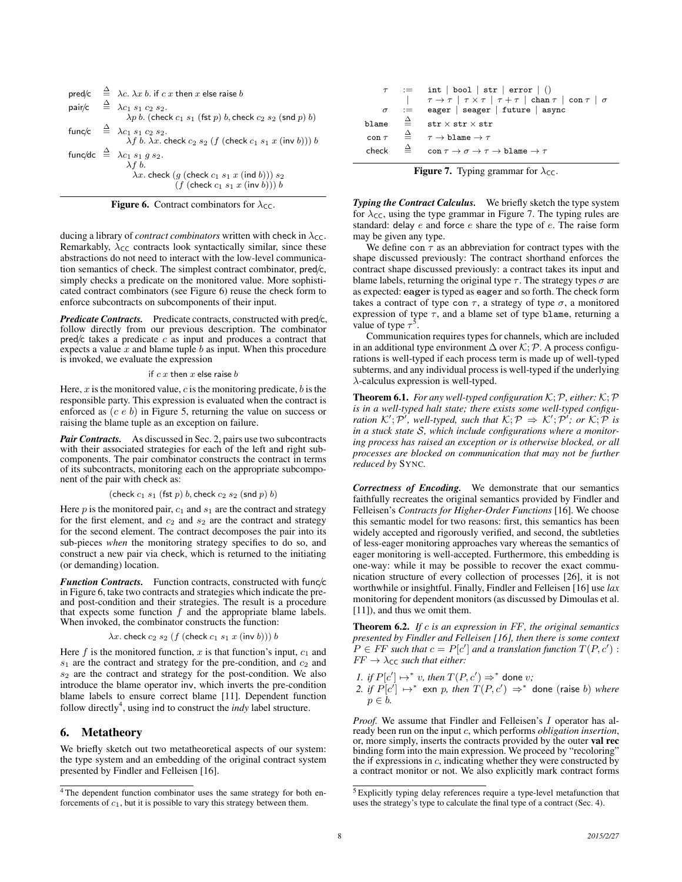|  | pred/c $\stackrel{\Delta}{=}$ $\lambda c. \lambda x b.$ if c x then x else raise b                                           |
|--|------------------------------------------------------------------------------------------------------------------------------|
|  | pair/c $\triangleq \lambda c_1 s_1 c_2 s_2$ .<br>$\lambda p b$ . (check $c_1 s_1$ (fst p) b, check $c_2 s_2$ (snd p) b)      |
|  | func/c $\triangleq \lambda c_1 s_1 c_2 s_2$ .<br>$\lambda f b. \lambda x.$ check $c_2 s_2$ (f (check $c_1 s_1 x$ (inv b))) b |
|  | func/dc $\stackrel{\Delta}{=}$ $\lambda c_1 s_1 g s_2$ .<br>$\lambda f b$ .                                                  |
|  | $\lambda x$ . check $(g$ (check $c_1$ $s_1$ $x$ (ind $b$ ))) $s_2$<br>$(f$ (check $c_1 s_1 x$ (inv b))) $b$                  |

**Figure 6.** Contract combinators for  $\lambda_{\text{CC}}$ .

ducing a library of *contract combinators* written with check in  $\lambda_{\text{CC}}$ . Remarkably,  $\lambda_{\text{CC}}$  contracts look syntactically similar, since these abstractions do not need to interact with the low-level communication semantics of check. The simplest contract combinator, pred/c, simply checks a predicate on the monitored value. More sophisticated contract combinators (see Figure 6) reuse the check form to enforce subcontracts on subcomponents of their input.

*Predicate Contracts.* Predicate contracts, constructed with pred/c, follow directly from our previous description. The combinator  $pred/c$  takes a predicate c as input and produces a contract that expects a value  $x$  and blame tuple b as input. When this procedure is invoked, we evaluate the expression

#### if  $c x$  then  $x$  else raise  $b$

Here,  $x$  is the monitored value,  $c$  is the monitoring predicate,  $b$  is the responsible party. This expression is evaluated when the contract is enforced as  $(c e b)$  in Figure 5, returning the value on success or raising the blame tuple as an exception on failure.

*Pair Contracts.* As discussed in Sec. 2, pairs use two subcontracts with their associated strategies for each of the left and right subcomponents. The pair combinator constructs the contract in terms of its subcontracts, monitoring each on the appropriate subcomponent of the pair with check as:

$$
(\mathsf{check}\; c_1\; s_1\; (\mathsf{fst}\; p)\; b, \mathsf{check}\; c_2\; s_2\; (\mathsf{snd}\; p)\; b)
$$

Here  $p$  is the monitored pair,  $c_1$  and  $s_1$  are the contract and strategy for the first element, and  $c_2$  and  $s_2$  are the contract and strategy for the second element. The contract decomposes the pair into its sub-pieces *when* the monitoring strategy specifies to do so, and construct a new pair via check, which is returned to the initiating (or demanding) location.

**Function Contracts.** Function contracts, constructed with func/c in Figure 6, take two contracts and strategies which indicate the preand post-condition and their strategies. The result is a procedure that expects some function  $f$  and the appropriate blame labels. When invoked, the combinator constructs the function:

$$
\lambda x. \text{ check } c_2 s_2 \ (f \ (\text{check } c_1 s_1 x \ (\text{inv } b))) b
$$

Here f is the monitored function, x is that function's input,  $c_1$  and  $s_1$  are the contract and strategy for the pre-condition, and  $c_2$  and  $s_2$  are the contract and strategy for the post-condition. We also introduce the blame operator inv, which inverts the pre-condition blame labels to ensure correct blame [11]. Dependent function follow directly<sup>4</sup>, using ind to construct the *indy* label structure.

## 6. Metatheory

We briefly sketch out two metatheoretical aspects of our system: the type system and an embedding of the original contract system presented by Findler and Felleisen [16].

|            |             | $\tau$ := int   bool   str   error   ()                                                            |
|------------|-------------|----------------------------------------------------------------------------------------------------|
|            |             | $\tau \rightarrow \tau$   $\tau \times \tau$   $\tau + \tau$   chan $\tau$   con $\tau$   $\sigma$ |
|            | $\sigma$ := | eager   seager   future   async                                                                    |
| blame      |             | $\triangleq$ str $\times$ str $\times$ str                                                         |
| $con \tau$ | $\hat{=}$   | $\tau \to h$ lame $\to \tau$                                                                       |
| check      |             | con $\tau \to \sigma \to \tau \to b$ lame $\to \tau$                                               |

**Figure 7.** Typing grammar for  $\lambda_{\text{CC}}$ .

*Typing the Contract Calculus.* We briefly sketch the type system for  $\lambda_{\text{CC}}$ , using the type grammar in Figure 7. The typing rules are standard: delay  $e$  and force  $e$  share the type of  $e$ . The raise form may be given any type.

We define con  $\tau$  as an abbreviation for contract types with the shape discussed previously: The contract shorthand enforces the contract shape discussed previously: a contract takes its input and blame labels, returning the original type  $\tau$ . The strategy types  $\sigma$  are as expected: eager is typed as eager and so forth. The check form takes a contract of type con  $\tau$ , a strategy of type  $\sigma$ , a monitored expression of type  $\tau$ , and a blame set of type blame, returning a value of type  $\tau^5$ .

Communication requires types for channels, which are included in an additional type environment ∆ over K; P. A process configurations is well-typed if each process term is made up of well-typed subterms, and any individual process is well-typed if the underlying  $\lambda$ -calculus expression is well-typed.

**Theorem 6.1.** For any well-typed configuration  $K; P$ , either:  $K; P$ *is in a well-typed halt state; there exists some well-typed configuration*  $K'$ ;  $\mathcal{P}'$ , well-typed, such that  $K; \mathcal{P} \Rightarrow K'; \mathcal{P}'$ ; or  $K; \mathcal{P}$  is *in a stuck state* S*, which include configurations where a monitoring process has raised an exception or is otherwise blocked, or all processes are blocked on communication that may not be further reduced by* SYNC*.*

*Correctness of Encoding.* We demonstrate that our semantics faithfully recreates the original semantics provided by Findler and Felleisen's *Contracts for Higher-Order Functions* [16]. We choose this semantic model for two reasons: first, this semantics has been widely accepted and rigorously verified, and second, the subtleties of less-eager monitoring approaches vary whereas the semantics of eager monitoring is well-accepted. Furthermore, this embedding is one-way: while it may be possible to recover the exact communication structure of every collection of processes [26], it is not worthwhile or insightful. Finally, Findler and Felleisen [16] use *lax* monitoring for dependent monitors (as discussed by Dimoulas et al. [11]), and thus we omit them.

Theorem 6.2. *If* c *is an expression in* FF*, the original semantics presented by Findler and Felleisen [16], then there is some context*  $P \in FF$  such that  $c = P[c']$  and a translation function  $T(P, c')$ :  $FF \rightarrow \lambda_{\text{CC}}$  *such that either:* 

*1. if*  $P[c'] \mapsto^* v$ , *then*  $T(P, c') \Rightarrow^*$  done *v*; 2. *if*  $P[c'] \mapsto^*$  exn p, then  $T(P, c') \Rightarrow^*$  done (raise b) where  $p \in b$ .

*Proof.* We assume that Findler and Felleisen's I operator has already been run on the input c, which performs *obligation insertion*, or, more simply, inserts the contracts provided by the outer val rec binding form into the main expression. We proceed by "recoloring" the if expressions in  $c$ , indicating whether they were constructed by a contract monitor or not. We also explicitly mark contract forms

<sup>4</sup> The dependent function combinator uses the same strategy for both enforcements of  $c_1$ , but it is possible to vary this strategy between them.

<sup>5</sup> Explicitly typing delay references require a type-level metafunction that uses the strategy's type to calculate the final type of a contract (Sec. 4).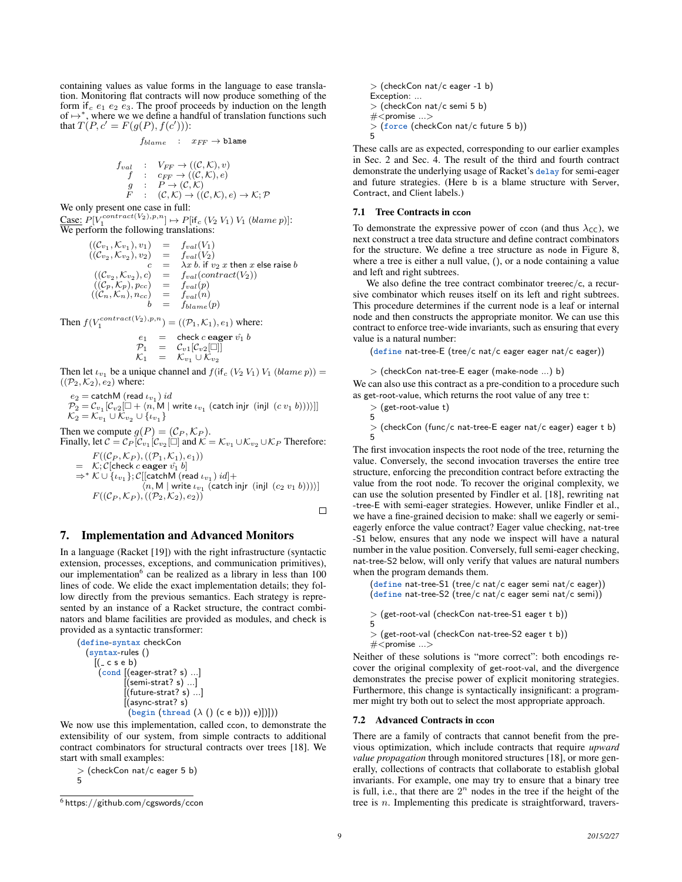containing values as value forms in the language to ease translation. Monitoring flat contracts will now produce something of the form if  $c$  e<sub>1</sub> e<sub>2</sub> e<sub>3</sub>. The proof proceeds by induction on the length of  $\mapsto^*$ , where we we define a handful of translation functions such that  $T(P, c' = F(g(P), f(c')))$ :

$$
f_{blame} \quad : \quad x_{FF} \to \texttt{blame}
$$

$$
f_{val} : V_{FF} \to ((\mathcal{C}, \mathcal{K}), v)
$$
  
\n
$$
f : c_{FF} \to ((\mathcal{C}, \mathcal{K}), e)
$$
  
\n
$$
g : P \to (\mathcal{C}, \mathcal{K})
$$
  
\n
$$
F : (\mathcal{C}, \mathcal{K}) \to ((\mathcal{C}, \mathcal{K}), e) \to \mathcal{K}; \mathcal{P}
$$

We only present one case in full:

Case:  $P[V_1^{contract(V_2), p, n}] \mapsto P[\text{if}_c (V_2 V_1) V_1 \text{ (blame } p)]$ :  $\frac{\text{Case.}}{\text{We perform the following translations:}}$ 

$$
((\mathcal{C}_{v_1}, \mathcal{K}_{v_1}), v_1) = f_{val}(V_1)
$$
  
\n
$$
((\mathcal{C}_{v_2}, \mathcal{K}_{v_2}), v_2) = f_{val}(V_2)
$$
  
\n
$$
c = \lambda x b. \text{ if } v_2 \text{ x then } x \text{ else raise } b
$$
  
\n
$$
((\mathcal{C}_{v_2}, \mathcal{K}_{v_2}), c) = f_{val}(contract(V_2))
$$
  
\n
$$
((\mathcal{C}_p, \mathcal{K}_p), p_{cc}) = f_{val}(p)
$$
  
\n
$$
((\mathcal{C}_n, \mathcal{K}_n), n_{cc}) = f_{val}(n)
$$
  
\n
$$
b = f_{blame}(p)
$$

Then  $f(V_1^{contract(V_2), p, n}) = ((P_1, K_1), e_1)$  where:

$$
\begin{array}{rcl}\ne_1 & = & \text{check } c \text{ eager } \hat{v_1} \ b \\
\mathcal{P}_1 & = & \mathcal{C}_{v1}[\mathcal{C}_{v2}[\Box]] \\
\mathcal{K}_1 & = & \mathcal{K}_{v_1} \cup \mathcal{K}_{v_2}\n\end{array}
$$

Then let  $\iota_{v_1}$  be a unique channel and  $f(\text{if}_{c} (V_2 V_1) V_1 (blame p)) =$  $((\mathcal{P}_2, \mathcal{K}_2), e_2)$  where:

 $e_2 =$  catch $\sf M$  (read  $\iota_{v_1})$   $id$  $\mathcal{P}_2 = \mathcal{C}_{v_1}[\mathcal{C}_{v2}[\Box + \langle n, \mathsf{M} \mid \mathsf{write} \; \iota_{v_1} \; \mathsf{(catch \; inj} \; \; (c \; v_1 \; b)) \rangle]]$  $\mathcal{K}_2 = \mathcal{K}_{v_1} \cup \mathcal{K}_{v_2} \cup \{\iota_{v_1}\}\$ 

Then we compute  $g(P) = (\mathcal{C}_P, \mathcal{K}_P)$ . Finally, let  $C = C_P[\hat{C}_{v_1}[\hat{C}_{v_2} \Box]$  and  $\hat{K} = \mathcal{K}_{v_1} \cup \mathcal{K}_{v_2} \cup \mathcal{K}_P$  Therefore:

$$
F((C_P, K_P), ((P_1, K_1), e_1))
$$
\n
$$
= K; C[check c e a g g e r \hat{v}_1 b]
$$
\n
$$
\Rightarrow^* K \cup \{\iota_{v_1}\}; C[[catchM (read \iota_{v_1}) id] +
$$
\n
$$
\langle n, M | \text{write } \iota_{v_1} \text{ (catch inji } (c_2 v_1 b)) \rangle]
$$
\n
$$
F((C_P, K_P), ((P_2, K_2), e_2))
$$

 $\Box$ 

# 7. Implementation and Advanced Monitors

In a language (Racket [19]) with the right infrastructure (syntactic extension, processes, exceptions, and communication primitives), our implementation<sup>6</sup> can be realized as a library in less than 100 lines of code. We elide the exact implementation details; they follow directly from the previous semantics. Each strategy is represented by an instance of a Racket structure, the contract combinators and blame facilities are provided as modules, and check is provided as a syntactic transformer:

(define-syntax checkCon (syntax-rules () [( c s e b) (cond [(eager-strat? s) ...] [(semi-strat? s) ...] [(future-strat? s) ...] [(async-strat? s) (begin (thread (λ () (c e b))) e)])]))

We now use this implementation, called ccon, to demonstrate the extensibility of our system, from simple contracts to additional contract combinators for structural contracts over trees [18]. We start with small examples:

> (checkCon nat/c eager 5 b) 5

> (checkCon nat/c eager -1 b) Exception: ... > (checkCon nat/c semi 5 b)  $\#$  < promise  $\ldots$ > > (force (checkCon nat/c future 5 b)) 5

These calls are as expected, corresponding to our earlier examples in Sec. 2 and Sec. 4. The result of the third and fourth contract demonstrate the underlying usage of Racket's delay for semi-eager and future strategies. (Here b is a blame structure with Server, Contract, and Client labels.)

## 7.1 Tree Contracts in ccon

To demonstrate the expressive power of ccon (and thus  $\lambda_{\text{CC}}$ ), we next construct a tree data structure and define contract combinators for the structure. We define a tree structure as node in Figure 8, where a tree is either a null value, (), or a node containing a value and left and right subtrees.

We also define the tree contract combinator treerec/c, a recursive combinator which reuses itself on its left and right subtrees. This procedure determines if the current node is a leaf or internal node and then constructs the appropriate monitor. We can use this contract to enforce tree-wide invariants, such as ensuring that every value is a natural number:

(define nat-tree-E (tree/c nat/c eager eager nat/c eager))

```
> (checkCon nat-tree-E eager (make-node ...) b)
```
We can also use this contract as a pre-condition to a procedure such as get-root-value, which returns the root value of any tree t:

```
> (get-root-value t)
5
```
> (checkCon (func/c nat-tree-E eager nat/c eager) eager t b) 5

The first invocation inspects the root node of the tree, returning the value. Conversely, the second invocation traverses the entire tree structure, enforcing the precondition contract before extracting the value from the root node. To recover the original complexity, we can use the solution presented by Findler et al. [18], rewriting nat -tree-E with semi-eager strategies. However, unlike Findler et al., we have a fine-grained decision to make: shall we eagerly or semieagerly enforce the value contract? Eager value checking, nat-tree -S1 below, ensures that any node we inspect will have a natural number in the value position. Conversely, full semi-eager checking, nat-tree-S2 below, will only verify that values are natural numbers when the program demands them.

(define nat-tree-S1 (tree/c nat/c eager semi nat/c eager)) (define nat-tree-S2 (tree/c nat/c eager semi nat/c semi))

> (get-root-val (checkCon nat-tree-S1 eager t b))

5 > (get-root-val (checkCon nat-tree-S2 eager t b)) #<promise ...>

Neither of these solutions is "more correct": both encodings recover the original complexity of get-root-val, and the divergence demonstrates the precise power of explicit monitoring strategies. Furthermore, this change is syntactically insignificant: a programmer might try both out to select the most appropriate approach.

#### 7.2 Advanced Contracts in ccon

There are a family of contracts that cannot benefit from the previous optimization, which include contracts that require *upward value propagation* through monitored structures [18], or more generally, collections of contracts that collaborate to establish global invariants. For example, one may try to ensure that a binary tree is full, i.e., that there are  $2^n$  nodes in the tree if the height of the tree is n. Implementing this predicate is straightforward, travers-

 $6$  https://github.com/cgswords/ccon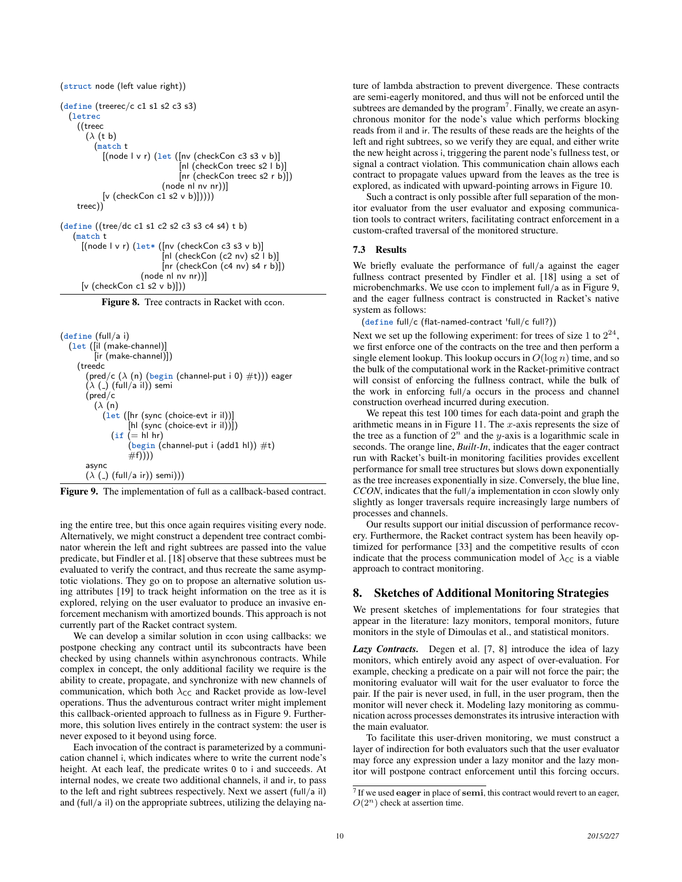```
(struct node (left value right))
(define (treerec/c c1 s1 s2 c3 s3)
  (letrec
    ((treec
       (\lambda (t b)
         (match t
           [(node \mid v \mid r) (let \mid (Inv (checkCon c3 s3 v b))[nl (checkCon treec s2 l b)]
                                [nr (checkCon treec s2 r b)])
                           (node nl nv nr))]
           [v (checkCon c1 s2 v b)])))treec))
(define ((tree/dc c1 s1 c2 s2 c3 s3 c4 s4) t b)
   (match t
     [(node \mid v \mid r) (let * ([nv (checkCon c3 s3 v b))[n] (checkCon (c2 nv) s2 |b|[nr (checkCon (c4 nv) s4 r b)])
                     (node nl nv nr))]
     [v (checkCon c1 s2 v b)]))
```
Figure 8. Tree contracts in Racket with ccon.

```
(define (full/a i)
   (let ([il (make-channel)]
          [ir (make-channel)])
     (treedc
        (pred/c (\lambda(n) (begin (channel-put i 0) \#t))) eager
       (\lambda) (-) (full/a il)) semi
        (pred/c
          (\lambda(n))(let ([hr (sync (choice-evt ir il))]
                     [hl (sync (choice-evt ir il))])
               (if (= h | hr)(\overline{\text{begin (channel-put i (add 1 h)) #t}})#f))))async
        (\lambda) (\lambda) (full/a ir)) semi)))
```


ing the entire tree, but this once again requires visiting every node. Alternatively, we might construct a dependent tree contract combinator wherein the left and right subtrees are passed into the value predicate, but Findler et al. [18] observe that these subtrees must be evaluated to verify the contract, and thus recreate the same asymptotic violations. They go on to propose an alternative solution using attributes [19] to track height information on the tree as it is explored, relying on the user evaluator to produce an invasive enforcement mechanism with amortized bounds. This approach is not currently part of the Racket contract system.

We can develop a similar solution in ccon using callbacks: we postpone checking any contract until its subcontracts have been checked by using channels within asynchronous contracts. While complex in concept, the only additional facility we require is the ability to create, propagate, and synchronize with new channels of communication, which both  $\lambda_{\text{CC}}$  and Racket provide as low-level operations. Thus the adventurous contract writer might implement this callback-oriented approach to fullness as in Figure 9. Furthermore, this solution lives entirely in the contract system: the user is never exposed to it beyond using force.

Each invocation of the contract is parameterized by a communication channel i, which indicates where to write the current node's height. At each leaf, the predicate writes 0 to i and succeeds. At internal nodes, we create two additional channels, il and ir, to pass to the left and right subtrees respectively. Next we assert (full/a il) and (full/a il) on the appropriate subtrees, utilizing the delaying nature of lambda abstraction to prevent divergence. These contracts are semi-eagerly monitored, and thus will not be enforced until the subtrees are demanded by the program<sup>7</sup>. Finally, we create an asynchronous monitor for the node's value which performs blocking reads from il and ir. The results of these reads are the heights of the left and right subtrees, so we verify they are equal, and either write the new height across i, triggering the parent node's fullness test, or signal a contract violation. This communication chain allows each contract to propagate values upward from the leaves as the tree is explored, as indicated with upward-pointing arrows in Figure 10.

Such a contract is only possible after full separation of the monitor evaluator from the user evaluator and exposing communication tools to contract writers, facilitating contract enforcement in a custom-crafted traversal of the monitored structure.

#### 7.3 Results

We briefly evaluate the performance of full/a against the eager fullness contract presented by Findler et al. [18] using a set of microbenchmarks. We use ccon to implement full/a as in Figure 9, and the eager fullness contract is constructed in Racket's native system as follows:

(define full/c (flat-named-contract 'full/c full?))

Next we set up the following experiment: for trees of size 1 to  $2^{24}$ , we first enforce one of the contracts on the tree and then perform a single element lookup. This lookup occurs in  $O(\log n)$  time, and so the bulk of the computational work in the Racket-primitive contract will consist of enforcing the fullness contract, while the bulk of the work in enforcing full/a occurs in the process and channel construction overhead incurred during execution.

We repeat this test 100 times for each data-point and graph the arithmetic means in in Figure 11. The  $x$ -axis represents the size of the tree as a function of  $2^n$  and the y-axis is a logarithmic scale in seconds. The orange line, *Built-In*, indicates that the eager contract run with Racket's built-in monitoring facilities provides excellent performance for small tree structures but slows down exponentially as the tree increases exponentially in size. Conversely, the blue line, *CCON*, indicates that the full/a implementation in ccon slowly only slightly as longer traversals require increasingly large numbers of processes and channels.

Our results support our initial discussion of performance recovery. Furthermore, the Racket contract system has been heavily optimized for performance [33] and the competitive results of ccon indicate that the process communication model of  $\lambda_{\text{CC}}$  is a viable approach to contract monitoring.

## 8. Sketches of Additional Monitoring Strategies

We present sketches of implementations for four strategies that appear in the literature: lazy monitors, temporal monitors, future monitors in the style of Dimoulas et al., and statistical monitors.

*Lazy Contracts.* Degen et al. [7, 8] introduce the idea of lazy monitors, which entirely avoid any aspect of over-evaluation. For example, checking a predicate on a pair will not force the pair; the monitoring evaluator will wait for the user evaluator to force the pair. If the pair is never used, in full, in the user program, then the monitor will never check it. Modeling lazy monitoring as communication across processes demonstrates its intrusive interaction with the main evaluator.

To facilitate this user-driven monitoring, we must construct a layer of indirection for both evaluators such that the user evaluator may force any expression under a lazy monitor and the lazy monitor will postpone contract enforcement until this forcing occurs.

 $<sup>7</sup>$  If we used eager in place of semi, this contract would revert to an eager,</sup>  $O(2^n)$  check at assertion time.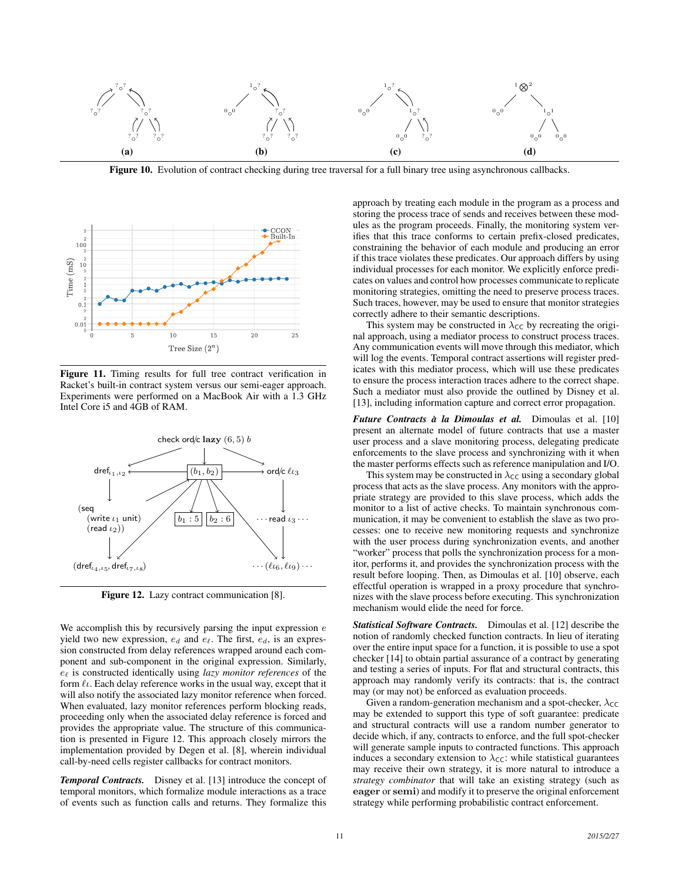

Figure 10. Evolution of contract checking during tree traversal for a full binary tree using asynchronous callbacks.



Figure 11. Timing results for full tree contract verification in Racket's built-in contract system versus our semi-eager approach. Experiments were performed on a MacBook Air with a 1.3 GHz Intel Core i5 and 4GB of RAM.



Figure 12. Lazy contract communication [8].

We accomplish this by recursively parsing the input expression  $e$ yield two new expression,  $e_d$  and  $e_{\ell}$ . The first,  $e_d$ , is an expression constructed from delay references wrapped around each component and sub-component in the original expression. Similarly,  $e_{\ell}$  is constructed identically using *lazy monitor references* of the form  $\ell_{\ell}$ . Each delay reference works in the usual way, except that it will also notify the associated lazy monitor reference when forced. When evaluated, lazy monitor references perform blocking reads, proceeding only when the associated delay reference is forced and provides the appropriate value. The structure of this communication is presented in Figure 12. This approach closely mirrors the implementation provided by Degen et al. [8], wherein individual call-by-need cells register callbacks for contract monitors.

*Temporal Contracts.* Disney et al. [13] introduce the concept of temporal monitors, which formalize module interactions as a trace of events such as function calls and returns. They formalize this

approach by treating each module in the program as a process and storing the process trace of sends and receives between these modules as the program proceeds. Finally, the monitoring system verifies that this trace conforms to certain prefix-closed predicates, constraining the behavior of each module and producing an error if this trace violates these predicates. Our approach differs by using individual processes for each monitor. We explicitly enforce predicates on values and control how processes communicate to replicate monitoring strategies, omitting the need to preserve process traces. Such traces, however, may be used to ensure that monitor strategies correctly adhere to their semantic descriptions.

This system may be constructed in  $\lambda_{\text{CC}}$  by recreating the original approach, using a mediator process to construct process traces. Any communication events will move through this mediator, which will log the events. Temporal contract assertions will register predicates with this mediator process, which will use these predicates to ensure the process interaction traces adhere to the correct shape. Such a mediator must also provide the outlined by Disney et al. [13], including information capture and correct error propagation.

*Future Contracts a la Dimoulas et al. `* Dimoulas et al. [10] present an alternate model of future contracts that use a master user process and a slave monitoring process, delegating predicate enforcements to the slave process and synchronizing with it when the master performs effects such as reference manipulation and I/O.

This system may be constructed in  $\lambda_{\text{CC}}$  using a secondary global process that acts as the slave process. Any monitors with the appropriate strategy are provided to this slave process, which adds the monitor to a list of active checks. To maintain synchronous communication, it may be convenient to establish the slave as two processes: one to receive new monitoring requests and synchronize with the user process during synchronization events, and another "worker" process that polls the synchronization process for a monitor, performs it, and provides the synchronization process with the result before looping. Then, as Dimoulas et al. [10] observe, each effectful operation is wrapped in a proxy procedure that synchronizes with the slave process before executing. This synchronization mechanism would elide the need for force.

*Statistical Software Contracts.* Dimoulas et al. [12] describe the notion of randomly checked function contracts. In lieu of iterating over the entire input space for a function, it is possible to use a spot checker [14] to obtain partial assurance of a contract by generating and testing a series of inputs. For flat and structural contracts, this approach may randomly verify its contracts: that is, the contract may (or may not) be enforced as evaluation proceeds.

Given a random-generation mechanism and a spot-checker,  $\lambda_{\text{CC}}$ may be extended to support this type of soft guarantee: predicate and structural contracts will use a random number generator to decide which, if any, contracts to enforce, and the full spot-checker will generate sample inputs to contracted functions. This approach induces a secondary extension to  $\lambda_{\text{CC}}$ : while statistical guarantees may receive their own strategy, it is more natural to introduce a *strategy combinator* that will take an existing strategy (such as eager or semi) and modify it to preserve the original enforcement strategy while performing probabilistic contract enforcement.